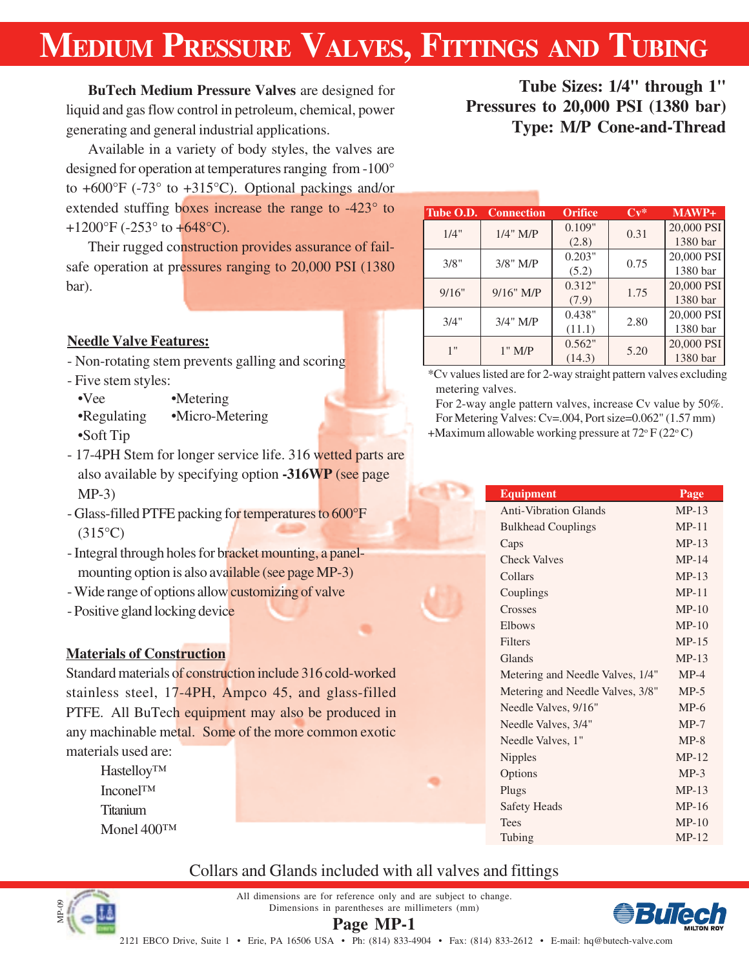# **MEDIUM PRESSURE VALVES, FITTINGS AND TUBING**

**BuTech Medium Pressure Valves** are designed for liquid and gas flow control in petroleum, chemical, power generating and general industrial applications.

Available in a variety of body styles, the valves are designed for operation at temperatures ranging from -100° to  $+600^{\circ}$ F (-73° to  $+315^{\circ}$ C). Optional packings and/or extended stuffing boxes increase the range to -423° to +1200°F (-253° to  $+648$ °C).

Their rugged construction provides assurance of failsafe operation at pressures ranging to 20,000 PSI (1380 bar).

### **Needle Valve Features:**

- Non-rotating stem prevents galling and scoring
- Five stem styles:
	- •Vee •Metering
	- •Regulating •Micro-Metering •Soft Tip
- 17-4PH Stem for longer service life. 316 wetted parts are also available by specifying option **-316WP** (see page MP-3)
- Glass-filled PTFE packing for temperatures to 600°F  $(315^{\circ}C)$
- Integral through holes for bracket mounting, a panelmounting option is also available (see page MP-3)
- Wide range of options allow customizing of valve
- Positive gland locking device

### **Materials of Construction**

Standard materials of construction include 316 cold-worked stainless steel, 17-4PH, Ampco 45, and glass-filled PTFE. All BuTech equipment may also be produced in any machinable metal. Some of the more common exotic materials used are:

Hastelloy™ Inconel™ Titanium Monel 400™

MP-09

### **Tube Sizes: 1/4" through 1" Pressures to 20,000 PSI (1380 bar) Type: M/P Cone-and-Thread**

| Tube O.D. | <b>Connection</b> | <b>Orifice</b> | $Cv^*$ | $MAWP+$    |
|-----------|-------------------|----------------|--------|------------|
| 1/4"      | $1/4$ " M/P       | 0.109"         | 0.31   | 20,000 PSI |
|           |                   | (2.8)          |        | 1380 bar   |
| 3/8"      | 3/8" M/P          | 0.203"         | 0.75   | 20,000 PSI |
|           |                   | (5.2)          |        | 1380 bar   |
| 9/16"     | $9/16"$ M/P       | 0.312"         | 1.75   | 20,000 PSI |
|           |                   | (7.9)          |        | 1380 bar   |
| 3/4"      |                   | 0.438"         | 2.80   | 20,000 PSI |
|           | 3/4" M/P          | (11.1)         |        | 1380 bar   |
| 1"        | $1"$ M/P          | 0.562"         | 5.20   | 20,000 PSI |
|           |                   | (14.3)         |        | 1380 bar   |

\*Cv values listed are for 2-way straight pattern valves excluding metering valves.

For 2-way angle pattern valves, increase Cv value by 50%. For Metering Valves: Cv=.004, Port size=0.062" (1.57 mm) +Maximum allowable working pressure at  $72^{\circ}$  F (22 $^{\circ}$ C)

| <b>Equipment</b>                 | Page    |
|----------------------------------|---------|
| <b>Anti-Vibration Glands</b>     | $MP-13$ |
| <b>Bulkhead Couplings</b>        | $MP-11$ |
| Caps                             | $MP-13$ |
| <b>Check Valves</b>              | $MP-14$ |
| Collars                          | $MP-13$ |
| Couplings                        | $MP-11$ |
| Crosses                          | $MP-10$ |
| Elbows                           | $MP-10$ |
| <b>Filters</b>                   | $MP-15$ |
| Glands                           | $MP-13$ |
| Metering and Needle Valves, 1/4" | $MP-4$  |
| Metering and Needle Valves, 3/8" | $MP-5$  |
| Needle Valves, 9/16"             | $MP-6$  |
| Needle Valves, 3/4"              | $MP-7$  |
| Needle Valves, 1"                | $MP-8$  |
| <b>Nipples</b>                   | $MP-12$ |
| Options                          | $MP-3$  |
| Plugs                            | $MP-13$ |
| <b>Safety Heads</b>              | $MP-16$ |
| <b>Tees</b>                      | $MP-10$ |
| Tubing                           | $MP-12$ |

### Collars and Glands included with all valves and fittings



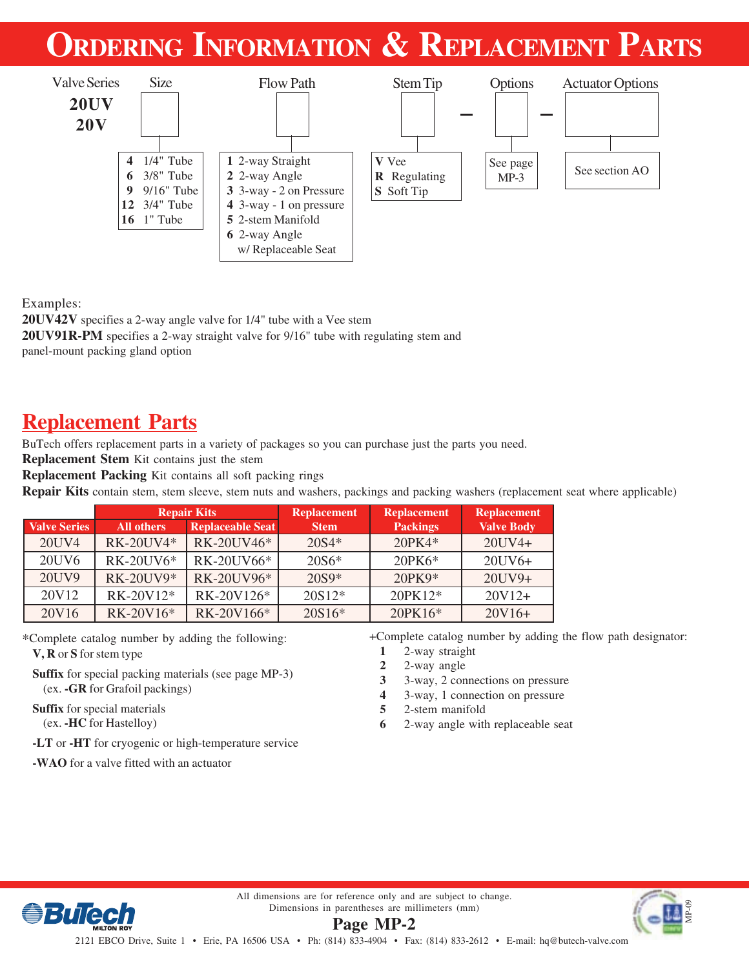# **ORDERING INFORMATION & REPLACEMENT PARTS**



Examples:

**20UV42V** specifies a 2-way angle valve for 1/4" tube with a Vee stem

**20UV91R-PM** specifies a 2-way straight valve for 9/16" tube with regulating stem and

panel-mount packing gland option

### **Replacement Parts**

BuTech offers replacement parts in a variety of packages so you can purchase just the parts you need.

**Replacement Stem** Kit contains just the stem

**Replacement Packing** Kit contains all soft packing rings

**Repair Kits** contain stem, stem sleeve, stem nuts and washers, packings and packing washers (replacement seat where applicable)

|                     |                   | <b>Repair Kits</b>      | <b>Replacement</b> | <b>Replacement</b> | <b>Replacement</b> |
|---------------------|-------------------|-------------------------|--------------------|--------------------|--------------------|
| <b>Valve Series</b> | <b>All others</b> | <b>Replaceable Seat</b> | <b>Stem</b>        | <b>Packings</b>    | <b>Valve Body</b>  |
| 20UV4               | RK-20UV4*         | RK-20UV46*              | $20S4*$            | $20PK4*$           | $20UV4+$           |
| 20UV6               | <b>RK-20UV6*</b>  | RK-20UV66*              | $20S6*$            | $20PK6*$           | $20UV6+$           |
| 20UV9               | <b>RK-20UV9*</b>  | RK-20UV96*              | $20S9*$            | 20PK9*             | $20UV9+$           |
| 20V12               | RK-20V12*         | RK-20V126*              | $20S12*$           | 20PK12*            | $20V12+$           |
| 20V16               | RK-20V16*         | RK-20V166*              | $20S16*$           | 20PK16*            | $20V16+$           |

\*Complete catalog number by adding the following:

**V, R** or **S** for stem type

**Suffix** for special packing materials (see page MP-3) (ex. **-GR** for Grafoil packings)

**Suffix** for special materials (ex. **-HC** for Hastelloy)

**-LT** or **-HT** for cryogenic or high-temperature service

**-WAO** for a valve fitted with an actuator

+Complete catalog number by adding the flow path designator:

- **1** 2-way straight
- **2** 2-way angle
- **3** 3-way, 2 connections on pressure
- **4** 3-way, 1 connection on pressure
- **5** 2-stem manifold
- **6** 2-way angle with replaceable seat



All dimensions are for reference only and are subject to change. Dimensions in parentheses are millimeters (mm)

**Page MP-2**

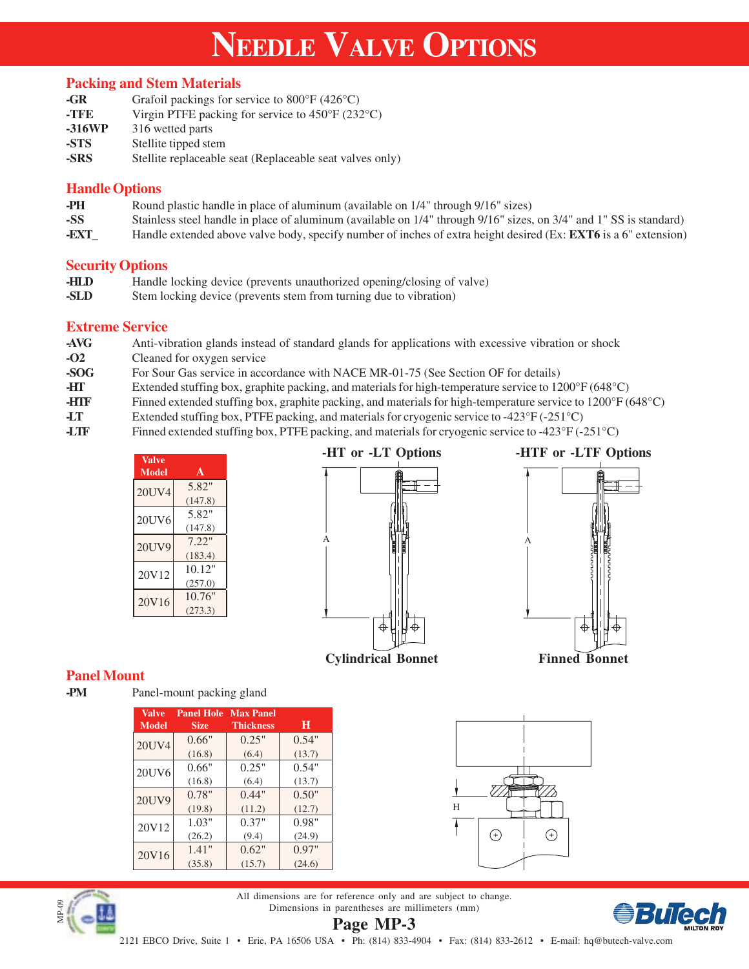# **NEEDLE VALVE OPTIONS**

#### **Packing and Stem Materials**

| -GR    | Grafoil packings for service to $800^{\circ}$ F (426 $^{\circ}$ C)    |
|--------|-----------------------------------------------------------------------|
| -TFE   | Virgin PTFE packing for service to $450^{\circ}$ F (232 $^{\circ}$ C) |
| -316WP | 316 wetted parts                                                      |
| -STS   | Stellite tipped stem                                                  |
| -SRS   | Stellite replaceable seat (Replaceable seat valves only)              |

#### **Handle Options**

- **-PH** Round plastic handle in place of aluminum (available on 1/4" through 9/16" sizes)
- **-SS** Stainless steel handle in place of aluminum (available on 1/4" through 9/16" sizes, on 3/4" and 1" SS is standard)
- **-EXT\_** Handle extended above valve body, specify number of inches of extra height desired (Ex: **EXT6** is a 6" extension)

#### **Security Options**

- **-HLD** Handle locking device (prevents unauthorized opening/closing of valve)<br> **-SLD** Stem locking device (prevents stem from turning due to vibration)
- Stem locking device (prevents stem from turning due to vibration)

#### **Extreme Service**

- **-AVG** Anti-vibration glands instead of standard glands for applications with excessive vibration or shock **-O2** Cleaned for oxygen service
- **-SOG** For Sour Gas service in accordance with NACE MR-01-75 (See Section OF for details)
- **-HT** Extended stuffing box, graphite packing, and materials for high-temperature service to 1200°F (648°C)
- **-HTF** Finned extended stuffing box, graphite packing, and materials for high-temperature service to 1200°F (648°C)
- **-LT** Extended stuffing box, PTFE packing, and materials for cryogenic service to -423°F (-251°C)
- **-LTF** Finned extended stuffing box, PTFE packing, and materials for cryogenic service to -423°F (-251°C)

| <b>Valve</b><br>Model | A                 |
|-----------------------|-------------------|
| 20UV4                 | 5.82"<br>(147.8)  |
| 20UV6                 | 5.82"<br>(147.8)  |
| 20UV9                 | 7.22"<br>(183.4)  |
| 20V12                 | 10.12"<br>(257.0) |
| 20V16                 | 10.76"<br>(273.3) |





### **Cylindrical Bonnet Finned Bonnet**

</u>



### **Panel Mount**

**-PM** Panel-mount packing gland

| <b>Valve</b><br><b>Model</b> | <b>Panel Hole</b><br><b>Size</b> | <b>Max Panel</b><br><b>Thickness</b> | н      |
|------------------------------|----------------------------------|--------------------------------------|--------|
| 20UV4                        | 0.66"                            | 0.25"                                | 0.54"  |
|                              | (16.8)                           | (6.4)                                | (13.7) |
| 20UV6                        | 0.66"                            | 0.25"                                | 0.54"  |
|                              | (16.8)                           | (6.4)                                | (13.7) |
| 20UV9                        | 0.78"                            | 0.44"                                | 0.50"  |
|                              | (19.8)                           | (11.2)                               | (12.7) |
| 20V12                        | 1.03"                            | 0.37"                                | 0.98"  |
|                              | (26.2)                           | (9.4)                                | (24.9) |
| 20V16                        | 1.41"                            | 0.62"                                | 0.97"  |
|                              | (35.8)                           | (15.7)                               | (24.6) |





**Page MP-3** All dimensions are for reference only and are subject to change. Dimensions in parentheses are millimeters (mm)

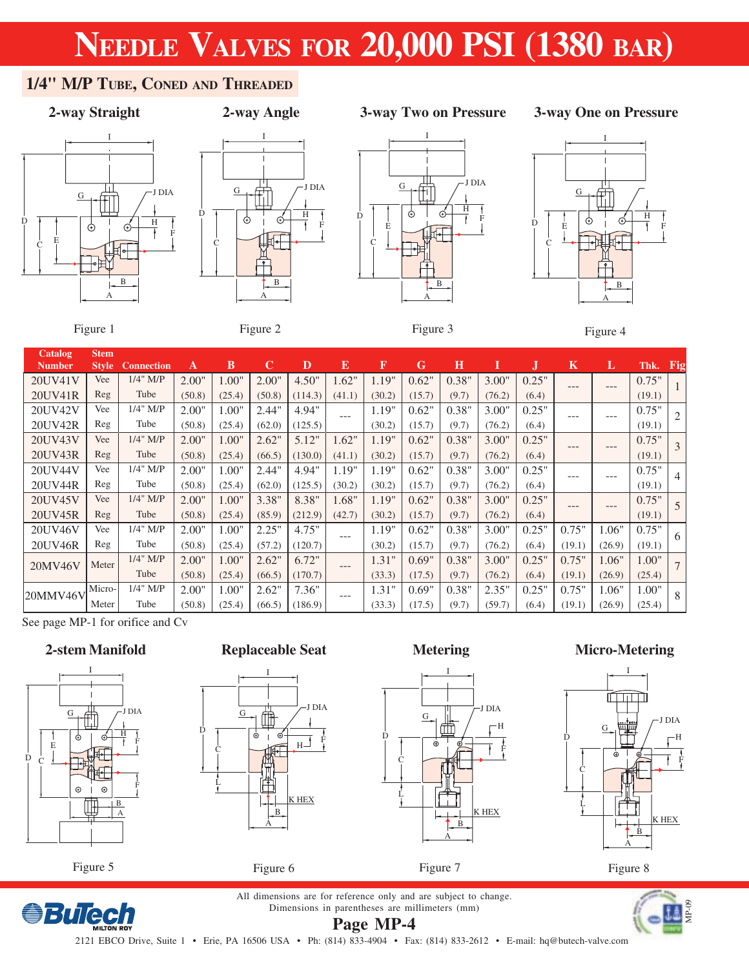### **1/4" M/P TUBE, CONED AND THREADED**

D



### **2-way Angle**

### **2-way Straight 3-way Two on Pressure**

### **3-way One on Pressure**









Figure 1

Figure 2

Figure 3



| <b>Catalog</b> | Stem         |                   |        |        |             |         |        |        |        |       |        |       |        |        |        |     |
|----------------|--------------|-------------------|--------|--------|-------------|---------|--------|--------|--------|-------|--------|-------|--------|--------|--------|-----|
| <b>Number</b>  | <b>Style</b> | <b>Connection</b> | A      | В      | $\mathbf C$ | D       | E      | F      | G      | Н     |        | IJ    | K      | L      | Thk.   | Fig |
| 20UV41V        | Vee          | $1/4$ " M/P       | 2.00"  | 1.00"  | 2.00"       | 4.50"   | 1.62"  | 1.19"  | 0.62"  | 0.38" | 3.00"  | 0.25" | $---$  | ---    | 0.75"  |     |
| 20UV41R        | Reg          | Tube              | (50.8) | (25.4) | (50.8)      | (114.3) | (41.1) | (30.2) | (15.7) | (9.7) | (76.2) | (6.4) |        |        | (19.1) |     |
| 20UV42V        | Vee          | 1/4" M/P          | 2.00"  | 1.00"  | 2.44"       | 4.94"   | ---    | 1.19"  | 0.62"  | 0.38" | 3.00"  | 0.25" | ---    | ---    | 0.75"  |     |
| 20UV42R        | Reg          | Tube              | (50.8) | (25.4) | (62.0)      | (125.5) |        | (30.2) | (15.7) | (9.7) | (76.2) | (6.4) |        |        | (19.1) |     |
| 20UV43V        | Vee          | $1/4$ " M/P       | 2.00"  | 1.00"  | 2.62"       | 5.12"   | 1.62"  | 1.19"  | 0.62"  | 0.38" | 3.00"  | 0.25" | $---$  | ---    | 0.75"  |     |
| 20UV43R        | Reg          | Tube              | (50.8) | (25.4) | (66.5)      | (130.0) | (41.1) | (30.2) | (15.7) | (9.7) | (76.2) | (6.4) |        |        | (19.1) |     |
| 20UV44V        | Vee          | $1/4$ " M/P       | 2.00"  | 1.00"  | 2.44"       | 4.94"   | 1.19"  | 1.19"  | 0.62"  | 0.38" | 3.00"  | 0.25" | ---    | ---    | 0.75"  | 4   |
| 20UV44R        | Reg          | Tube              | (50.8) | (25.4) | (62.0)      | (125.5) | (30.2) | (30.2) | (15.7) | (9.7) | (76.2) | (6.4) |        |        | (19.1) |     |
| 20UV45V        | Vee          | $1/4$ " M/P       | 2.00"  | 1.00"  | 3.38"       | 8.38"   | 1.68"  | 1.19"  | 0.62"  | 0.38" | 3.00"  | 0.25" | $---$  | ---    | 0.75"  |     |
| 20UV45R        | Reg          | Tube              | (50.8) | (25.4) | (85.9)      | (212.9) | (42.7) | (30.2) | (15.7) | (9.7) | (76.2) | (6.4) |        |        | (19.1) |     |
| 20UV46V        | Vee          | $1/4$ " M/P       | 2.00"  | 1.00"  | 2.25"       | 4.75"   | ---    | 1.19"  | 0.62"  | 0.38" | 3.00"  | 0.25" | 0.75"  | 1.06"  | 0.75"  | 6   |
| 20UV46R        | Reg          | Tube              | (50.8) | (25.4) | (57.2)      | (120.7) |        | (30.2) | (15.7) | (9.7) | (76.2) | (6.4) | (19.1) | (26.9) | (19.1) |     |
| 20MV46V        | Meter        | $1/4$ " M/P       | 2.00"  | 1.00"  | 2.62"       | 6.72"   | ---    | 1.31"  | 0.69"  | 0.38" | 3.00"  | 0.25" | 0.75"  | 1.06"  | 1.00"  |     |
|                |              | Tube              | (50.8) | (25.4) | (66.5)      | (170.7) |        | (33.3) | (17.5) | (9.7) | (76.2) | (6.4) | (19.1) | (26.9) | (25.4) |     |
| 20MMV46V       | Micro-       | $1/4$ " M/P       | 2.00"  | 1.00"  | 2.62"       | 7.36"   | ---    | 1.31"  | 0.69"  | 0.38" | 2.35"  | 0.25" | 0.75"  | 1.06"  | 1.00"  | 8   |
|                | Meter        | Tube              | (50.8) | (25.4) | (66.5)      | (186.9) |        | (33.3) | (17.5) | (9.7) | (59.7) | (6.4) | (19.1) | (26.9) | (25.4) |     |

See page MP-1 for orifice and Cv

### **2-stem Manifold**



*<u>BuTech</u>* 

**Replaceable Seat**







**Micro-Metering**



Figure 8

All dimensions are for reference only and are subject to change. Dimensions in parentheses are millimeters (mm) **Page MP-4**

D

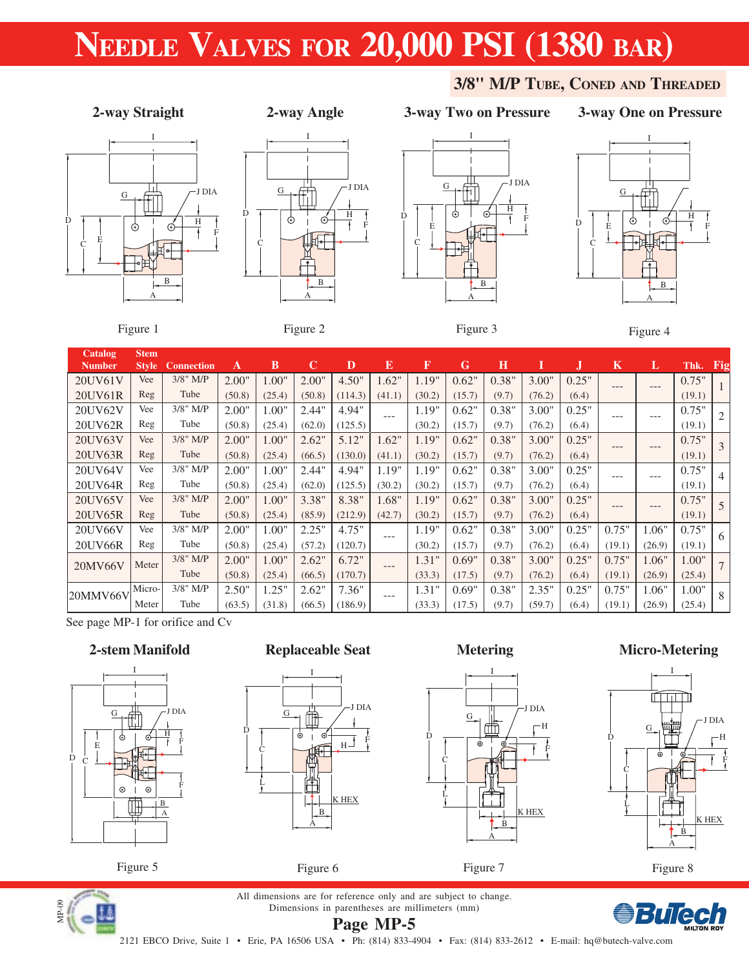

### **2-way Angle**

I

H

J DIA

F

D

C

G



### **3-way One on Pressure**

**3/8" M/P TUBE, CONED AND THREADED**





Figure 1

Figure 2

B A

Figure 3



| Catalog       | <b>Stem</b>  |                   |        |        |             |         |         |        |        |       |        |       |         |        |        |     |
|---------------|--------------|-------------------|--------|--------|-------------|---------|---------|--------|--------|-------|--------|-------|---------|--------|--------|-----|
| <b>Number</b> | <b>Style</b> | <b>Connection</b> | A      | В      | $\mathbf C$ | D       | E       | F      | G      | Н     |        | J.    | $\bf K$ | L      | Thk.   | Fig |
| 20UV61V       | Vee          | $3/8$ " M/P       | 2.00"  | .00"   | 2.00"       | 4.50"   | 1.62"   | 1.19"  | 0.62"  | 0.38" | 3.00"  | 0.25" | $---$   | $---$  | 0.75"  |     |
| 20UV61R       | Reg          | Tube              | (50.8) | (25.4) | (50.8)      | (114.3) | (41.1)  | (30.2) | (15.7) | (9.7) | (76.2) | (6.4) |         |        | (19.1) |     |
| 20UV62V       | Vee          | $3/8$ " M/P       | 2.00"  | .00"   | 2.44"       | 4.94"   | $---$   | 1.19"  | 0.62"  | 0.38" | 3.00"  | 0.25" | ---     | ---    | 0.75"  |     |
| 20UV62R       | Reg          | Tube              | (50.8) | (25.4) | (62.0)      | (125.5) |         | (30.2) | (15.7) | (9.7) | (76.2) | (6.4) |         |        | (19.1) |     |
| 20UV63V       | Vee          | $3/8$ " M/P       | 2.00"  | 1.00"  | 2.62"       | 5.12"   | 1.62"   | 1.19"  | 0.62"  | 0.38" | 3.00"  | 0.25" | ---     | ---    | 0.75"  | 3   |
| 20UV63R       | Reg          | Tube              | (50.8) | (25.4) | (66.5)      | (130.0) | (41.1)  | (30.2) | (15.7) | (9.7) | (76.2) | (6.4) |         |        | (19.1) |     |
| 20UV64V       | Vee          | $3/8"$ M/P        | 2.00"  | 1.00"  | 2.44"       | 4.94"   | 1.19"   | 1.19"  | 0.62"  | 0.38" | 3.00"  | 0.25" | ---     | ---    | 0.75"  | 4   |
| 20UV64R       | Reg          | Tube              | (50.8) | (25.4) | (62.0)      | (125.5) | (30.2)  | (30.2) | (15.7) | (9.7) | (76.2) | (6.4) |         |        | (19.1) |     |
| 20UV65V       | Vee          | $3/8$ " M/P       | 2.00"  | 1.00"  | 3.38"       | 8.38"   | 1.68"   | 1.19"  | 0.62"  | 0.38" | 3.00"  | 0.25" | ---     | $---$  | 0.75"  | -5  |
| 20UV65R       | Reg          | Tube              | (50.8) | (25.4) | (85.9)      | (212.9) | (42.7)  | (30.2) | (15.7) | (9.7) | (76.2) | (6.4) |         |        | (19.1) |     |
| 20UV66V       | Vee          | $3/8"$ M/P        | 2.00"  | 1.00"  | 2.25"       | 4.75"   | $---$   | 1.19"  | 0.62"  | 0.38" | 3.00"  | 0.25" | 0.75"   | 1.06"  | 0.75"  | -6  |
| 20UV66R       | Reg          | Tube              | (50.8) | (25.4) | (57.2)      | (120.7) |         | (30.2) | (15.7) | (9.7) | (76.2) | (6.4) | (19.1)  | (26.9) | (19.1) |     |
| 20MV66V       | Meter        | $3/8$ " M/P       | 2.00"  | 1.00"  | 2.62"       | 6.72"   | $---$   | 1.31"  | 0.69"  | 0.38" | 3.00"  | 0.25" | 0.75"   | 1.06"  | 1.00"  |     |
|               |              | Tube              | (50.8) | (25.4) | (66.5)      | (170.7) |         | (33.3) | (17.5) | (9.7) | (76.2) | (6.4) | (19.1)  | (26.9) | (25.4) |     |
| 20MMV66V      | Micro-       | $3/8$ " M/P       | 2.50"  | .25"   | 2.62"       | 7.36"   | $- - -$ | 1.31"  | 0.69"  | 0.38" | 2.35"  | 0.25" | 0.75"   | 1.06"  | 1.00"  | 8   |
|               | Meter        | Tube              | (63.5) | (31.8) | (66.5)      | (186.9) |         | (33.3) | (17.5) | (9.7) | (59.7) | (6.4) | (19.1)  | (26.9) | (25.4) |     |

See page MP-1 for orifice and Cv

### **2-stem Manifold**







Figure 6

### **Metering**

G

D

C

L

I

▥

B A

Figure 7

K HEX

H F

J DIA







**Page MP-5** All dimensions are for reference only and are subject to change. Dimensions in parentheses are millimeters (mm)

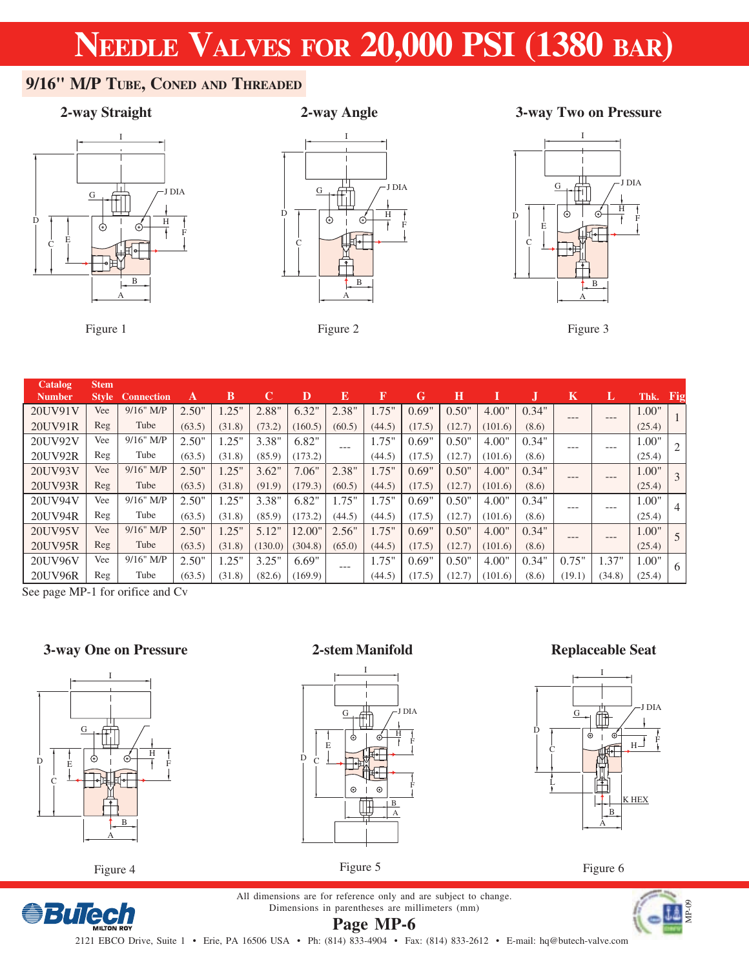H

J DIA

F

### **9/16" M/P TUBE, CONED AND THREADED**



Figure 1

### **2-way Angle**

I

B A

Figure 2

D

C

G

### **2-way Straight 3-way Two on Pressure**



Figure 3

| <b>Catalog</b> | <b>Stem</b>  |                   |        |        |         |         |        |          |        |        |         |       |         |         |        |                |
|----------------|--------------|-------------------|--------|--------|---------|---------|--------|----------|--------|--------|---------|-------|---------|---------|--------|----------------|
| <b>Number</b>  | <b>Style</b> | <b>Connection</b> | A      | в      |         | D       | E      | F        | G      | н      |         |       | Κ       | L       | Thk.   | Fig            |
| 20UV91V        | Vee          | $9/16$ " M/P      | 2.50"  | .25"   | 2.88"   | 6.32"   | 2.38"  | $1.75$ " | 0.69"  | 0.50"  | 4.00"   | 0.34" | $---$   | $- - -$ | 1.00"  |                |
| 20UV91R        | Reg          | Tube              | (63.5) | (31.8) | (73.2)  | (160.5) | (60.5) | (44.5)   | (17.5) | (12.7) | (101.6) | (8.6) |         |         | (25.4) |                |
| 20UV92V        | Vee          | $9/16$ " M/P      | 2.50"  | .25"   | 3.38"   | 6.82"   | $---$  | 1.75"    | 0.69"  | 0.50"  | 4.00"   | 0.34" | $- - -$ | ---     | 1.00"  | 2              |
| 20UV92R        | Reg          | Tube              | (63.5) | (31.8) | (85.9)  | (173.2) |        | (44.5)   | (17.5) | (12.7) | (101.6) | (8.6) |         |         | (25.4) |                |
| 20UV93V        | Vee          | $9/16"$ M/P       | 2.50"  | .25"   | 3.62"   | 7.06"   | 2.38"  | 1.75"    | 0.69"  | 0.50"  | 4.00"   | 0.34" | $- - -$ | ---     | 1.00"  | $\mathcal{E}$  |
| 20UV93R        | Reg          | Tube              | (63.5) | (31.8) | (91.9)  | (179.3) | (60.5) | (44.5)   | (17.5) | (12.7) | (101.6) | (8.6) |         |         | (25.4) |                |
| 20UV94V        | Vee          | $9/16$ " M/P      | 2.50"  | .25"   | 3.38"   | 6.82"   | 1.75"  | 1.75"    | 0.69"  | 0.50"  | 4.00"   | 0.34" | $- - -$ | ---     | 1.00"  | $\overline{4}$ |
| 20UV94R        | Reg          | Tube              | (63.5) | (31.8) | (85.9)  | (173.2) | (44.5) | (44.5)   | (17.5) | (12.7) | (101.6) | (8.6) |         |         | (25.4) |                |
| 20UV95V        | Vee          | $9/16$ " M/P      | 2.50"  | .25"   | 5.12"   | 12.00"  | 2.56"  | 1.75"    | 0.69"  | 0.50"  | 4.00"   | 0.34" | $---$   | ---     | 1.00"  | .5             |
| 20UV95R        | Reg          | Tube              | (63.5) | (31.8) | (130.0) | (304.8) | (65.0) | (44.5)   | (17.5) | (12.7) | (101.6) | (8.6) |         |         | (25.4) |                |
| 20UV96V        | Vee          | $9/16$ " M/P      | 2.50"  | .25"   | 3.25"   | 6.69"   | ---    | 1.75"    | 0.69"  | 0.50"  | 4.00"   | 0.34" | 0.75"   | 1.37"   | 1.00"  | 6              |
| 20UV96R        | Reg          | Tube              | (63.5) | (31.8) | (82.6)  | (169.9) |        | (44.5)   | (17.5) | (12.7) | (101.6) | (8.6) | (19.1)  | (34.8)  | (25.4) |                |

See page MP-1 for orifice and Cv

### **3-way One on Pressure**



Figure 4

**BuTech** 

#### **2-stem Manifold**



#### **Replaceable Seat**



Figure 5

**Page MP-6**

Figure 6

All dimensions are for reference only and are subject to change. Dimensions in parentheses are millimeters (mm)

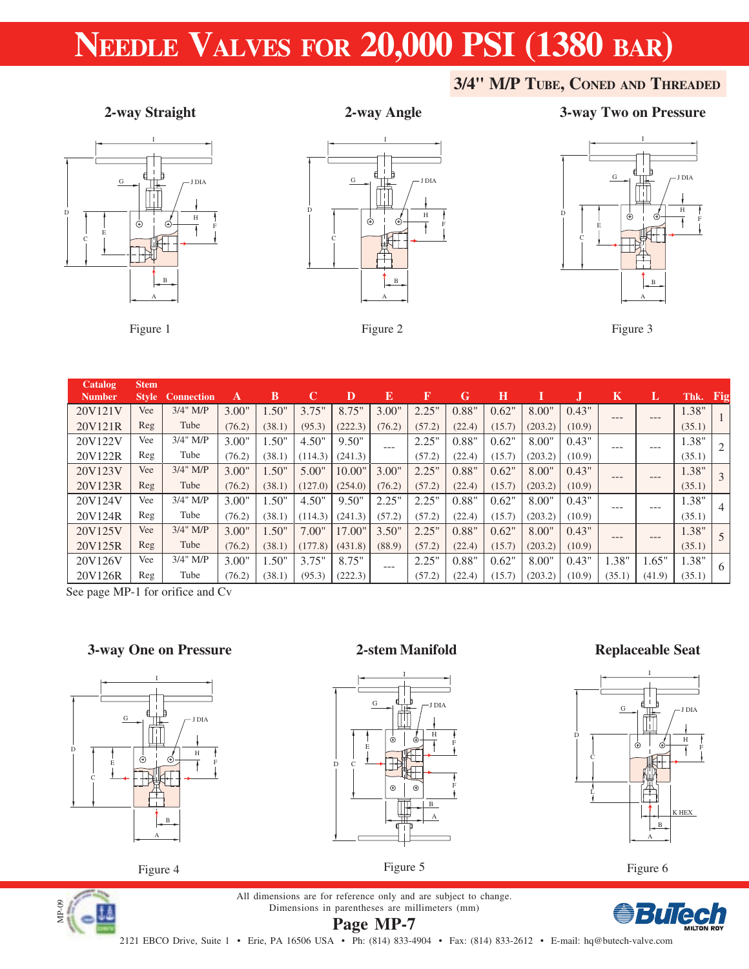### **3/4" M/P TUBE, CONED AND THREADED**



Figure 1

#### **2-way Angle**

I

 $\overline{G}$  J  $\overline{L}$   $\overline{L}$  J DIA

B A

Figure 2

H F

ł

D

C

### **2-way Straight 3-way Two on Pressure**



Figure 3

| <b>Catalog</b><br><b>Number</b> | <b>Stem</b><br><b>Style</b> | <b>Connection</b> | A      | B      | C       | D       | $\bf{E}$ | $\mathbf F$ | G      | Н      |         |        | $\bf K$ | L       | Thk. Fig |               |
|---------------------------------|-----------------------------|-------------------|--------|--------|---------|---------|----------|-------------|--------|--------|---------|--------|---------|---------|----------|---------------|
| 20V121V                         | Vee                         | $3/4$ " M/P       | 3.00"  | 1.50"  | 3.75"   | 8.75"   | 3.00"    | 2.25"       | 0.88"  | 0.62"  | 8.00"   | 0.43"  |         |         | 1.38"    |               |
| 20V121R                         | Reg                         | Tube              | (76.2) | (38.1) | (95.3)  | (222.3) | (76.2)   | (57.2)      | (22.4) | (15.7) | (203.2) | (10.9) | ---     | ---     | (35.1)   |               |
| 20V122V                         | Vee                         | $3/4$ " M/P       | 3.00"  | 1.50"  | 4.50"   | 9.50"   |          | 2.25"       | 0.88"  | 0.62"  | 8.00"   | 0.43"  |         |         | 1.38"    |               |
| 20V122R                         | Reg                         | Tube              | (76.2) | (38.1) | (114.3) | (241.3) | $---$    | (57.2)      | (22.4) | (15.7) | (203.2) | (10.9) | ---     | ---     | (35.1)   | -2            |
| 20V123V                         | Vee                         | $3/4$ " M/P       | 3.00"  | 1.50"  | 5.00"   | 10.00"  | 3.00"    | 2.25"       | 0.88"  | 0.62"  | 8.00"   | 0.43"  |         |         | 1.38"    |               |
| 20V123R                         | Reg                         | Tube              | (76.2) | (38.1) | (127.0) | (254.0) | (76.2)   | (57.2)      | (22.4) | (15.7) | (203.2) | (10.9) | $---$   | $- - -$ | (35.1)   | $\mathcal{E}$ |
| 20V124V                         | Vee                         | 3/4" M/P          | 3.00"  | 1.50"  | 4.50"   | 9.50"   | 2.25"    | 2.25"       | 0.88"  | 0.62"  | 8.00"   | 0.43"  |         |         | 1.38"    |               |
| 20V124R                         | Reg                         | Tube              | (76.2) | (38.1) | (114.3) | (241.3) | (57.2)   | (57.2)      | (22.4) | (15.7) | (203.2) | (10.9) | ---     | ---     | (35.1)   | 4             |
| 20V125V                         | Vee                         | $3/4$ " M/P       | 3.00"  | 1.50"  | 7.00"   | 17.00"  | 3.50"    | 2.25"       | 0.88"  | 0.62"  | 8.00"   | 0.43"  |         |         | 1.38"    |               |
| 20V125R                         | Reg                         | Tube              | (76.2) | (38.1) | (177.8) | (431.8) | (88.9)   | (57.2)      | (22.4) | (15.7) | (203.2) | (10.9) | ---     | ---     | (35.1)   |               |
| 20V126V                         | Vee                         | 3/4" M/P          | 3.00"  | 1.50"  | 3.75"   | 8.75"   | $- - -$  | 2.25"       | 0.88"  | 0.62"  | 8.00"   | 0.43"  | 1.38"   | 1.65"   | 1.38"    |               |
| 20V126R                         | Reg                         | Tube              | (76.2) | (38.1) | (95.3)  | (222.3) |          | (57.2)      | (22.4) | (15.7) | (203.2) | (10.9) | (35.1)  | (41.9)  | (35.1)   | -6            |

See page MP-1 for orifice and Cv

### **3-way One on Pressure**



**2-stem Manifold**



### **Replaceable Seat**



Figure 4

MP-09





Figure 6

2121 EBCO Drive, Suite 1 • Erie, PA 16506 USA • Ph: (814) 833-4904 • Fax: (814) 833-2612 • E-mail: hq@butech-valve.com

Figure 5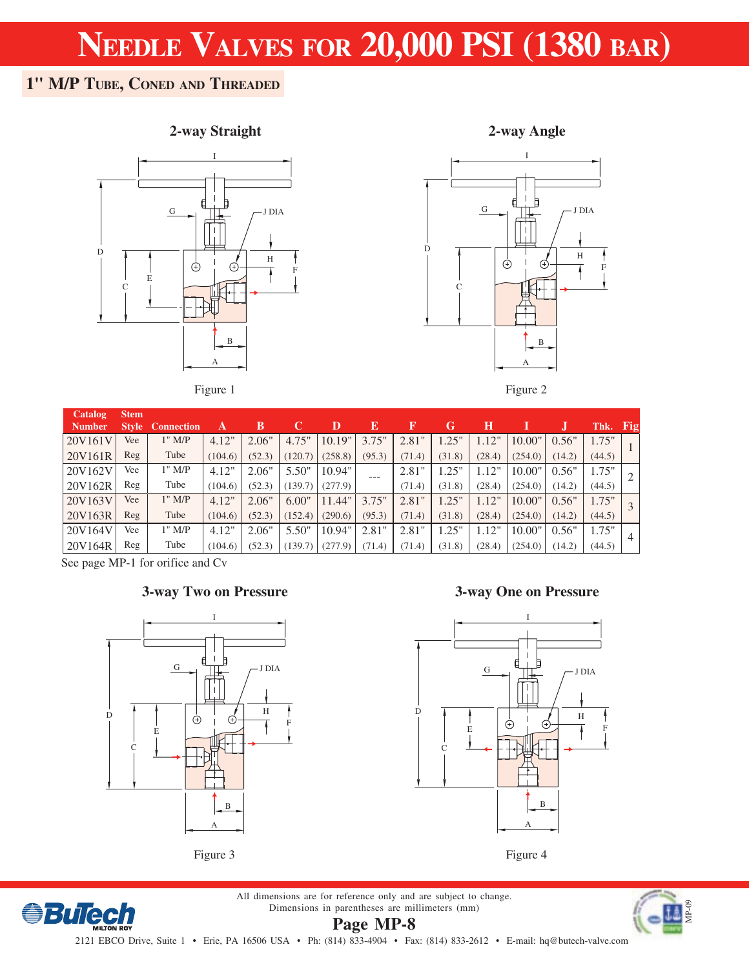### **1" M/P TUBE, CONED AND THREADED**

### **2-way Straight**







Figure 2

| <b>Catalog</b> | <b>Stem</b> |                         |         |        |         |         |        |        |          |        |         |        |        |     |
|----------------|-------------|-------------------------|---------|--------|---------|---------|--------|--------|----------|--------|---------|--------|--------|-----|
| <b>Number</b>  |             | <b>Style Connection</b> | A       | в      |         | D       | Е      | K      | G        | Н      |         |        | Thk.   | Fig |
| 20V161V        | Vee         | $1"$ M/P                | 4.12"   | 2.06"  | 4.75"   | 10.19"  | 3.75"  | 2.81"  | $1.25$ " | 1.12"  | 10.00"  | 0.56"  | 1.75"  |     |
| 20V161R        | Reg         | Tube                    | (104.6) | (52.3) | (120.7) | (258.8) | (95.3) | (71.4) | (31.8)   | (28.4) | (254.0) | (14.2) | (44.5) |     |
| 20V162V        | Vee         | $1"$ M/P                | 4.12"   | 2.06"  | 5.50"   | 10.94"  | ---    | 2.81"  | 1.25"    | 1.12"  | 10.00"  | 0.56"  | 1.75"  |     |
| 20V162R        | Reg         | Tube                    | (104.6) | (52.3) | (139.7) | (277.9) |        | (71.4) | (31.8)   | (28.4) | (254.0) | (14.2) | (44.5) |     |
| 20V163V        | Vee         | $1"$ M/P                | 4.12"   | 2.06"  | 6.00"   | 11.44"  | 3.75"  | 2.81"  | 1.25"    | 1.12"  | 10.00"  | 0.56"  | 1.75"  |     |
| 20V163R        | Reg         | Tube                    | (104.6) | (52.3) | (152.4) | (290.6) | (95.3) | (71.4) | (31.8)   | (28.4) | (254.0) | (14.2) | (44.5) |     |
| 20V164V        | Vee         | $1"$ M/P                | 4.12"   | 2.06"  | 5.50"   | 10.94"  | 2.81"  | 2.81"  | 1.25"    | 1.12"  | 10.00"  | 0.56"  | 1.75"  |     |
| 20V164R        | Reg         | Tube                    | (104.6) | (52.3) | (139.7) | (277.9) | (71.4) | (71.4) | (31.8)   | (28.4) | (254.0) | (14.2) | (44.5) |     |

See page MP-1 for orifice and Cv

**BuTech** 

### **3-way Two on Pressure**



Figure 3

### **3-way One on Pressure**





All dimensions are for reference only and are subject to change.



Dimensions in parentheses are millimeters (mm) **Page MP-8**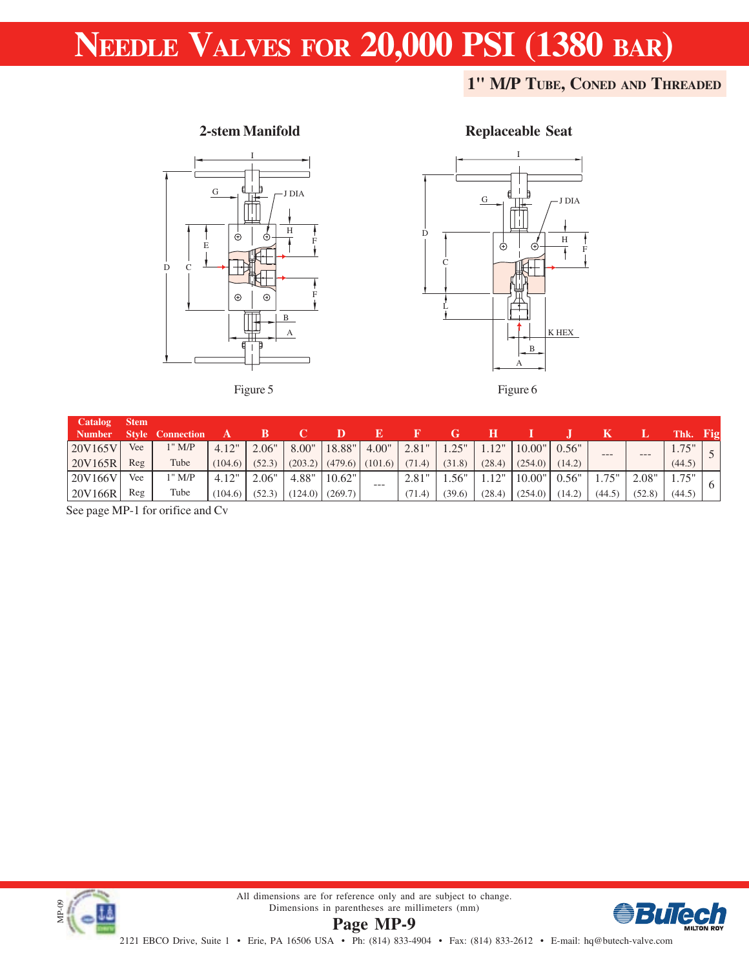### **1" M/P TUBE, CONED AND THREADED**



**2-stem Manifold**

#### Figure 5



**Replaceable Seat**

#### Figure 6

| Catalog       | <b>Stem</b> |                         |         |        |       |                               |         |        |        |        |                  |        |        |        |           |        |
|---------------|-------------|-------------------------|---------|--------|-------|-------------------------------|---------|--------|--------|--------|------------------|--------|--------|--------|-----------|--------|
| <b>Number</b> |             | <b>Style Connection</b> |         |        |       |                               |         |        |        |        |                  |        |        |        | Thk. Fig. |        |
| 20V165V       | Vee         | $1"$ M/P                | 4.12"   | 2.06"  | 8.00" | 18.88"                        | 4.00"   | 2.81"  | 1.25"  |        | $1.12"$   10.00" | 0.56"  | $---$  | $---$  | 1.75"     | $\sim$ |
| 20V165R       | Reg         | Tube                    | (104.6) | (52.3) |       | $(203.2)$ $(479.6)$ $(101.6)$ |         | (71.4) | (31.8) | (28.4) | (254.0)          | (14.2) |        |        | (44.5)    |        |
| 20V166V       | Vee         | 1" M/P                  | 4.12"   | 2.06"  | 4.88" | 10.62"                        | $- - -$ | 2.81"  | .56"   |        | $1.12"$   10.00" | 0.56"  | 1.75"  | 2.08"  | 1.75"     |        |
| 20V166R       | Reg         | Tube                    | (104.6) | (52.3) |       | $(124.0)$ $(269.7)$           |         | (71.4) | (39.6) | (28.4) | (254.0)          | (14.2) | (44.5) | (52.8) | (44.5)    |        |

See page MP-1 for orifice and Cv



**Page MP-9** All dimensions are for reference only and are subject to change. Dimensions in parentheses are millimeters (mm)

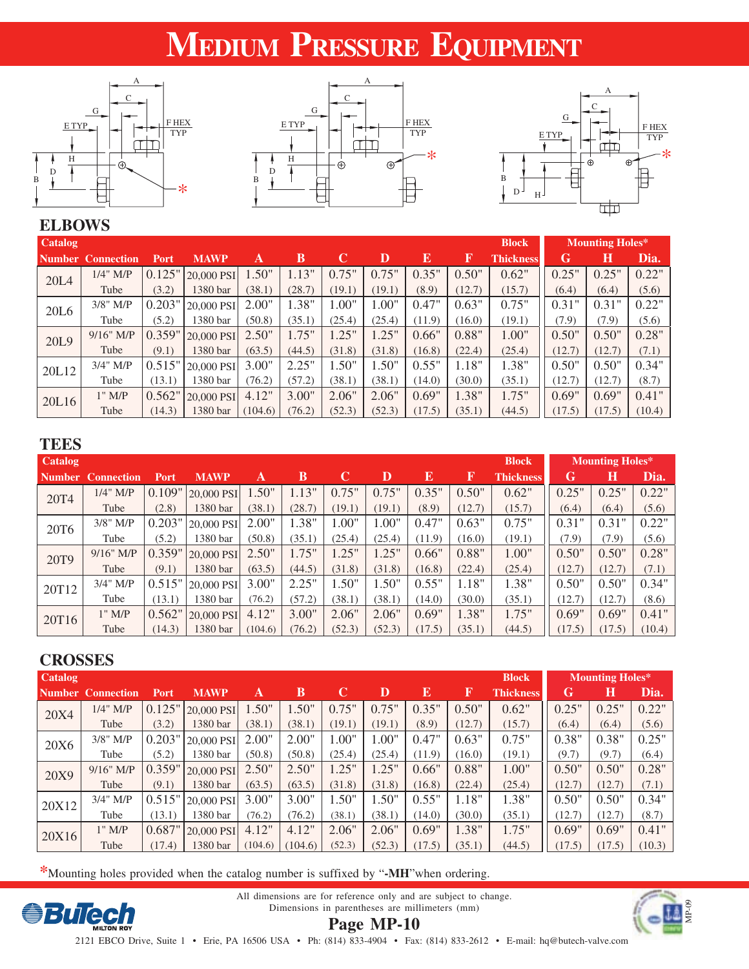# **MEDIUM PRESSURE EQUIPMENT**







### **ELBOWS**

| <b>Catalog</b>   |                          |        |             |         |        |        |        |        |        | <b>Block</b>     |        | <b>Mounting Holes*</b> |        |
|------------------|--------------------------|--------|-------------|---------|--------|--------|--------|--------|--------|------------------|--------|------------------------|--------|
|                  | <b>Number Connection</b> | Port   | <b>MAWP</b> | A       | В      | C      |        | E      | F      | <b>Thickness</b> | G      | Н                      | Dia.   |
| 20L4             | $1/4$ " M/P              | 0.125" | 20,000 PSI  | 1.50"   | 1.13"  | 0.75"  | 0.75"  | 0.35"  | 0.50"  | 0.62"            | 0.25"  | 0.25"                  | 0.22"  |
|                  | Tube                     | (3.2)  | 1380 bar    | (38.1)  | (28.7) | (19.1) | (19.1) | (8.9)  | (12.7) | (15.7)           | (6.4)  | (6.4)                  | (5.6)  |
| 20L <sub>6</sub> | $3/8$ " M/P              | 0.203" | 20,000 PSI  | 2.00"   | 1.38"  | 1.00"  | 1.00"  | 0.47"  | 0.63"  | 0.75"            | 0.31"  | 0.31"                  | 0.22"  |
|                  | Tube                     | (5.2)  | 1380 bar    | (50.8)  | (35.1) | (25.4) | (25.4) | (11.9) | (16.0) | (19.1)           | (7.9)  | (7.9)                  | (5.6)  |
| 20L9             | $9/16"$ M/P              | 0.359" | 20,000 PSI  | 2.50"   | 1.75"  | 1.25"  | 1.25"  | 0.66"  | 0.88"  | 1.00"            | 0.50"  | 0.50"                  | 0.28"  |
|                  | Tube                     | (9.1)  | 1380 bar    | (63.5)  | (44.5) | (31.8) | (31.8) | (16.8) | (22.4) | (25.4)           | (12.7) | (12.7)                 | (7.1)  |
| 20L12            | $3/4"$ M/P               | 0.515" | 20,000 PSI  | 3.00"   | 2.25"  | 1.50"  | 1.50"  | 0.55"  | 1.18"  | 1.38"            | 0.50"  | 0.50"                  | 0.34"  |
|                  | Tube                     | (13.1) | 1380 bar    | (76.2)  | (57.2) | (38.1) | (38.1) | (14.0) | (30.0) | (35.1)           | (12.7) | (12.7)                 | (8.7)  |
| 20L16            | $1"$ M/P                 | 0.562" | 20,000 PSI  | 4.12"   | 3.00"  | 2.06"  | 2.06"  | 0.69"  | 1.38"  | 1.75"            | 0.69"  | 0.69"                  | 0.41"  |
|                  | Tube                     | (14.3) | 1380 bar    | (104.6) | (76.2) | (52.3) | (52.3) | (17.5) | (35.1) | (44.5)           | (17.5) | (17.5)                 | (10.4) |

### **TEES**

| <b>Catalog</b><br><b>Block</b> |                   |        |             |         |        |        | <b>Mounting Holes*</b> |        |        |                  |        |        |        |
|--------------------------------|-------------------|--------|-------------|---------|--------|--------|------------------------|--------|--------|------------------|--------|--------|--------|
|                                | Number Connection | Port   | <b>MAWP</b> | A       | В      | C      |                        | E      | F      | <b>Thickness</b> | G      | Н      | Dia.   |
| 20T <sub>4</sub>               | $1/4$ " M/P       | 0.109" | 20,000 PSI  | 1.50"   | 1.13"  | 0.75"  | 0.75"                  | 0.35"  | 0.50"  | 0.62"            | 0.25"  | 0.25"  | 0.22"  |
|                                | Tube              | (2.8)  | 1380 bar    | (38.1)  | (28.7) | (19.1) | (19.1)                 | (8.9)  | (12.7) | (15.7)           | (6.4)  | (6.4)  | (5.6)  |
| 20T <sub>6</sub>               | $3/8$ " M/P       | 0.203" | 20,000 PSI  | 2.00"   | 1.38"  | 1.00"  | 1.00"                  | 0.47"  | 0.63"  | 0.75"            | 0.31"  | 0.31"  | 0.22"  |
|                                | Tube              | (5.2)  | 1380 bar    | (50.8)  | (35.1) | (25.4) | (25.4)                 | (11.9) | (16.0) | (19.1)           | (7.9)  | (7.9)  | (5.6)  |
| 20T9                           | $9/16"$ M/P       | 0.359" | 20,000 PSI  | 2.50"   | 1.75"  | 1.25"  | $1.25$ "               | 0.66"  | 0.88"  | 1.00"            | 0.50"  | 0.50"  | 0.28"  |
|                                | Tube              | (9.1)  | 1380 bar    | (63.5)  | (44.5) | (31.8) | (31.8)                 | (16.8) | (22.4) | (25.4)           | (12.7) | (12.7) | (7.1)  |
| 20T <sub>12</sub>              | 3/4" M/P          | 0.515" | 20,000 PSI  | 3.00"   | 2.25"  | 1.50"  | 1.50"                  | 0.55"  | 1.18"  | 1.38"            | 0.50"  | 0.50"  | 0.34"  |
|                                | Tube              | (13.1) | 1380 bar    | (76.2)  | (57.2) | (38.1) | (38.1)                 | (14.0) | (30.0) | (35.1)           | (12.7) | (12.7) | (8.6)  |
| 20T16                          | $1"$ M/P          | 0.562" | 20,000 PSI  | 4.12"   | 3.00"  | 2.06"  | 2.06"                  | 0.69"  | 1.38"  | 1.75"            | 0.69"  | 0.69"  | 0.41"  |
|                                | Tube              | (14.3) | 1380 bar    | (104.6) | (76.2) | (52.3) | (52.3)                 | (17.5) | (35.1) | (44.5)           | (17.5) | (17.5) | (10.4) |

### **CROSSES**

| <b>Catalog</b> |                          |        |             |         |         |        | <b>Block</b><br><b>Mounting Holes*</b> |        |        |                  |        |        |        |
|----------------|--------------------------|--------|-------------|---------|---------|--------|----------------------------------------|--------|--------|------------------|--------|--------|--------|
|                | <b>Number Connection</b> | Port   | <b>MAWP</b> | Α       | В       | C      | D                                      | E      | 19     | <b>Thickness</b> | G      | Н      | Dia.   |
| 20X4           | $1/4$ " M/P              | 0.125" | 20,000 PSI  | 1.50"   | 1.50"   | 0.75"  | 0.75"                                  | 0.35"  | 0.50"  | 0.62"            | 0.25"  | 0.25"  | 0.22"  |
|                | Tube                     | (3.2)  | 1380 bar    | (38.1)  | (38.1)  | (19.1) | (19.1)                                 | (8.9)  | (12.7) | (15.7)           | (6.4)  | (6.4)  | (5.6)  |
| 20X6           | $3/8$ " M/P              | 0.203" | 20,000 PSI  | 2.00"   | 2.00"   | 1.00"  | 1.00"                                  | 0.47"  | 0.63"  | 0.75"            | 0.38"  | 0.38"  | 0.25"  |
|                | Tube                     | (5.2)  | 1380 bar    | (50.8)  | (50.8)  | (25.4) | (25.4)                                 | (11.9) | (16.0) | (19.1)           | (9.7)  | (9.7)  | (6.4)  |
| 20X9           | $9/16"$ M/P              | 0.359" | 20,000 PSI  | 2.50"   | 2.50"   | 1.25"  | 1.25"                                  | 0.66"  | 0.88"  | 1.00"            | 0.50"  | 0.50"  | 0.28"  |
|                | Tube                     | (9.1)  | 1380 bar    | (63.5)  | (63.5)  | (31.8) | (31.8)                                 | (16.8) | (22.4) | (25.4)           | (12.7) | (12.7) | (7.1)  |
| 20X12          | $3/4$ " M/P              | 0.515" | 20,000 PSI  | 3.00"   | 3.00"   | 1.50"  | 1.50"                                  | 0.55"  | 1.18"  | 1.38"            | 0.50"  | 0.50"  | 0.34"  |
|                | Tube                     | (13.1) | 1380 bar    | (76.2)  | (76.2)  | (38.1) | (38.1)                                 | (14.0) | (30.0) | (35.1)           | (12.7) | (12.7) | (8.7)  |
| 20X16          | $1"$ M/P                 | 0.687" | 20,000 PSI  | 4.12"   | 4.12"   | 2.06"  | 2.06"                                  | 0.69"  | 1.38"  | 1.75"            | 0.69"  | 0.69"  | 0.41"  |
|                | Tube                     | (17.4) | 1380 bar    | (104.6) | (104.6) | (52.3) | (52.3)                                 | (17.5) | (35.1) | (44.5)           | (17.5) | (17.5) | (10.3) |

**\***Mounting holes provided when the catalog number is suffixed by "**-MH**"when ordering.



All dimensions are for reference only and are subject to change. Dimensions in parentheses are millimeters (mm)



**Page MP-10**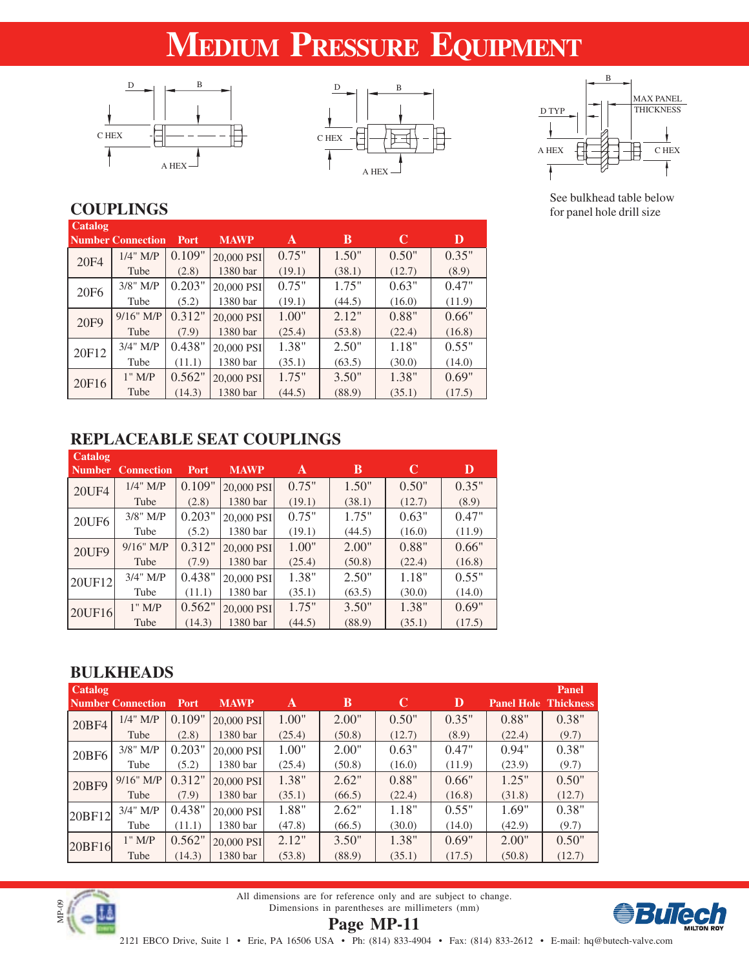# **MEDIUM PRESSURE EQUIPMENT**







See bulkhead table below for panel hole drill size

### **COUPLINGS**

| Catalog          | <b>Number Connection</b> | <b>Port</b> | <b>MAWP</b> | A      | B      | C      | D      |
|------------------|--------------------------|-------------|-------------|--------|--------|--------|--------|
| 20F4             | $1/4$ " M/P              | 0.109"      | 20,000 PSI  | 0.75"  | 1.50"  | 0.50"  | 0.35"  |
|                  | Tube                     | (2.8)       | 1380 bar    | (19.1) | (38.1) | (12.7) | (8.9)  |
| 20F <sub>6</sub> | $3/8$ " M/P              | 0.203"      | 20,000 PSI  | 0.75"  | 1.75"  | 0.63"  | 0.47"  |
|                  | Tube                     | (5.2)       | 1380 bar    | (19.1) | (44.5) | (16.0) | (11.9) |
| 20F9             | $9/16"$ M/P              | 0.312"      | 20,000 PSI  | 1.00"  | 2.12"  | 0.88"  | 0.66"  |
|                  | Tube                     | (7.9)       | 1380 bar    | (25.4) | (53.8) | (22.4) | (16.8) |
| 20F12            | $3/4$ " M/P              | 0.438"      | 20,000 PSI  | 1.38"  | 2.50"  | 1.18"  | 0.55"  |
|                  | Tube                     | (11.1)      | 1380 bar    | (35.1) | (63.5) | (30.0) | (14.0) |
| 20F16            | $1"$ M/P                 | 0.562"      | 20,000 PSI  | 1.75"  | 3.50"  | 1.38"  | 0.69"  |
|                  | Tube                     | (14.3)      | 1380 bar    | (44.5) | (88.9) | (35.1) | (17.5) |

### **REPLACEABLE SEAT COUPLINGS**

| Catalog<br><b>Number</b> | <b>Connection</b> | <b>Port</b> | <b>MAWP</b> | A      | B      | C      | D      |
|--------------------------|-------------------|-------------|-------------|--------|--------|--------|--------|
| <b>20UF4</b>             | $1/4$ " M/P       | 0.109"      | 20,000 PSI  | 0.75"  | 1.50"  | 0.50"  | 0.35"  |
|                          | Tube              | (2.8)       | 1380 bar    | (19.1) | (38.1) | (12.7) | (8.9)  |
| 20UF <sub>6</sub>        | $3/8$ " M/P       | 0.203"      | 20,000 PSI  | 0.75"  | 1.75"  | 0.63"  | 0.47"  |
|                          | Tube              | (5.2)       | 1380 bar    | (19.1) | (44.5) | (16.0) | (11.9) |
| 20UF9                    | $9/16$ " M/P      | 0.312"      | 20,000 PSI  | 1.00"  | 2.00"  | 0.88"  | 0.66"  |
|                          | Tube              | (7.9)       | 1380 bar    | (25.4) | (50.8) | (22.4) | (16.8) |
| 20UF12                   | $3/4$ " M/P       | 0.438"      | 20,000 PSI  | 1.38"  | 2.50"  | 1.18"  | 0.55"  |
|                          | Tube              | (11.1)      | 1380 bar    | (35.1) | (63.5) | (30.0) | (14.0) |
| 20UF16                   | $1"$ M/P          | 0.562"      | 20,000 PSI  | 1.75"  | 3.50"  | 1.38"  | 0.69"  |
|                          | Tube              | (14.3)      | 1380 bar    | (44.5) | (88.9) | (35.1) | (17.5) |

### **BULKHEADS**

| <b>Catalog</b> |                          |        |             |        |        |        |        |                             | Panel  |
|----------------|--------------------------|--------|-------------|--------|--------|--------|--------|-----------------------------|--------|
|                | <b>Number Connection</b> | Port   | <b>MAWP</b> | A      | B      | C      | D      | <b>Panel Hole Thickness</b> |        |
| 20BF4          | $1/4$ " M/P              | 0.109" | 20,000 PSI  | 1.00"  | 2.00"  | 0.50"  | 0.35"  | 0.88"                       | 0.38"  |
|                | Tube                     | (2.8)  | 1380 bar    | (25.4) | (50.8) | (12.7) | (8.9)  | (22.4)                      | (9.7)  |
| 20BF6          | $3/8$ " M/P              | 0.203" | 20,000 PSI  | 1.00"  | 2.00"  | 0.63"  | 0.47"  | 0.94"                       | 0.38"  |
|                | Tube                     | (5.2)  | 1380 bar    | (25.4) | (50.8) | (16.0) | (11.9) | (23.9)                      | (9.7)  |
| 20BF9          | $9/16$ " M/P             | 0.312" | 20,000 PSI  | 1.38"  | 2.62"  | 0.88"  | 0.66"  | 1.25"                       | 0.50"  |
|                | Tube                     | (7.9)  | 1380 bar    | (35.1) | (66.5) | (22.4) | (16.8) | (31.8)                      | (12.7) |
| 20BF12         | $3/4$ " M/P              | 0.438" | 20,000 PSI  | 1.88"  | 2.62"  | 1.18"  | 0.55"  | 1.69"                       | 0.38"  |
|                | Tube                     | (11.1) | 1380 bar    | (47.8) | (66.5) | (30.0) | (14.0) | (42.9)                      | (9.7)  |
| 20BF16         | $1"$ M/P                 | 0.562" | 20,000 PSI  | 2.12"  | 3.50"  | 1.38"  | 0.69"  | 2.00"                       | 0.50"  |
|                | Tube                     | (14.3) | 1380 bar    | (53.8) | (88.9) | (35.1) | (17.5) | (50.8)                      | (12.7) |



**Page MP-11** All dimensions are for reference only and are subject to change. Dimensions in parentheses are millimeters (mm)

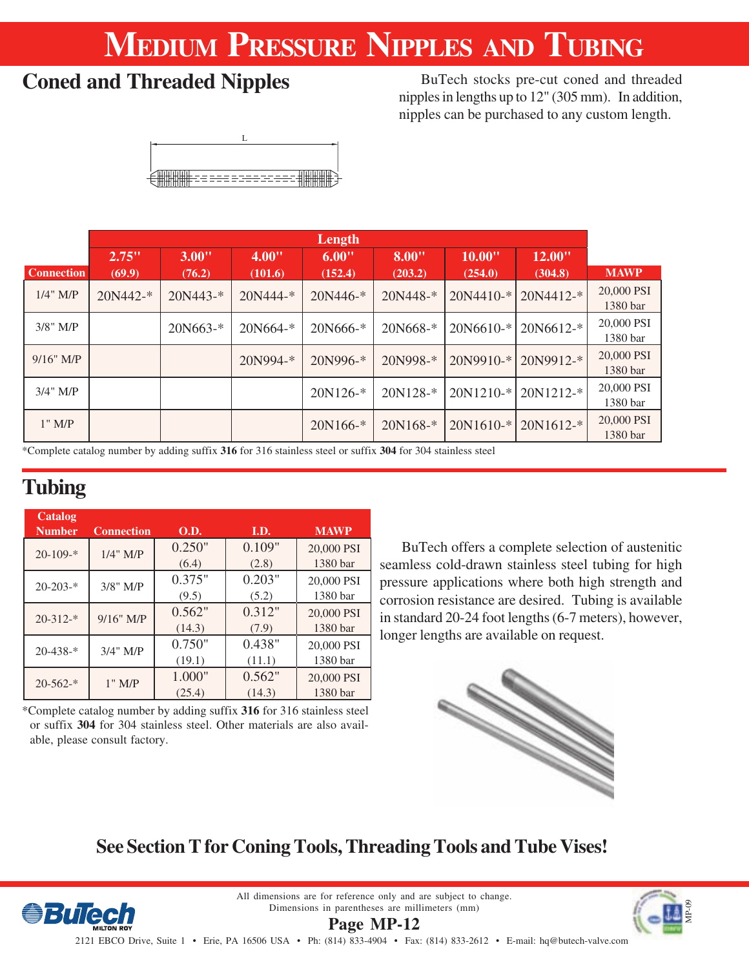# **MEDIUM PRESSURE NIPPLES AND TUBING**

## **Coned and Threaded Nipples**

BuTech stocks pre-cut coned and threaded nipples in lengths up to 12" (305 mm). In addition, nipples can be purchased to any custom length.

|                   |            |              |             | Length     |              |             |             |                        |
|-------------------|------------|--------------|-------------|------------|--------------|-------------|-------------|------------------------|
|                   | 2.75"      | 3.00"        | 4.00"       | 6.00"      | 8.00"        | 10.00"      | 12.00"      |                        |
| <b>Connection</b> | (69.9)     | (76.2)       | (101.6)     | (152.4)    | (203.2)      | (254.0)     | (304.8)     | <b>MAWP</b>            |
| $1/4$ " M/P       | $20N442-*$ | $20N443 -$ * | $20N444-$ * | 20N446-*   | $20N448 -$ * | $20N4410-*$ | 20N4412-*   | 20,000 PSI<br>1380 bar |
| $3/8$ " M/P       |            | $20N663-*$   | 20N664-*    | 20N666-*   | 20N668-*     | 20N6610-*   | 20N6612-*   | 20,000 PSI<br>1380 bar |
| $9/16$ " M/P      |            |              | 20N994-*    | 20N996-*   | 20N998-*     | 20N9910-*   | 20N9912-*   | 20,000 PSI<br>1380 bar |
| $3/4$ " M/P       |            |              |             | $20N126-*$ | 20N128-*     | 20N1210-*   | 20N1212-*   | 20,000 PSI<br>1380 bar |
| $1"$ M/P          |            |              |             | 20N166-*   | $20N168-*$   | 20N1610-*   | $20N1612-*$ | 20,000 PSI<br>1380 bar |

\*Complete catalog number by adding suffix **316** for 316 stainless steel or suffix **304** for 304 stainless steel

## **Tubing**

| Catalog<br><b>Number</b> | <b>Connection</b> | <b>O.D.</b> | I.D.   | <b>MAWP</b> |
|--------------------------|-------------------|-------------|--------|-------------|
| $20 - 109 -$ *           | $1/4$ " M/P       | 0.250"      | 0.109" | 20,000 PSI  |
|                          |                   | (6.4)       | (2.8)  | 1380 bar    |
| $20 - 203 -$ *           | $3/8$ " M/P       | 0.375"      | 0.203" | 20,000 PSI  |
|                          |                   | (9.5)       | (5.2)  | 1380 bar    |
| $20 - 312 -$ *           | $9/16$ " M/P      | 0.562"      | 0.312" | 20,000 PSI  |
|                          |                   | (14.3)      | (7.9)  | 1380 bar    |
| $20 - 438 -$ *           | $3/4$ " M/P       | 0.750"      | 0.438" | 20,000 PSI  |
|                          |                   | (19.1)      | (11.1) | 1380 bar    |
| $20-562-$ *              | $1"$ M/P          | 1.000"      | 0.562" | 20,000 PSI  |
|                          |                   | (25.4)      | (14.3) | 1380 bar    |

\*Complete catalog number by adding suffix **316** for 316 stainless steel or suffix **304** for 304 stainless steel. Other materials are also available, please consult factory.

BuTech offers a complete selection of austenitic seamless cold-drawn stainless steel tubing for high pressure applications where both high strength and corrosion resistance are desired. Tubing is available in standard 20-24 foot lengths (6-7 meters), however, longer lengths are available on request.



## **See Section T for Coning Tools, Threading Tools and Tube Vises!**



All dimensions are for reference only and are subject to change. Dimensions in parentheses are millimeters (mm) **Page MP-12**

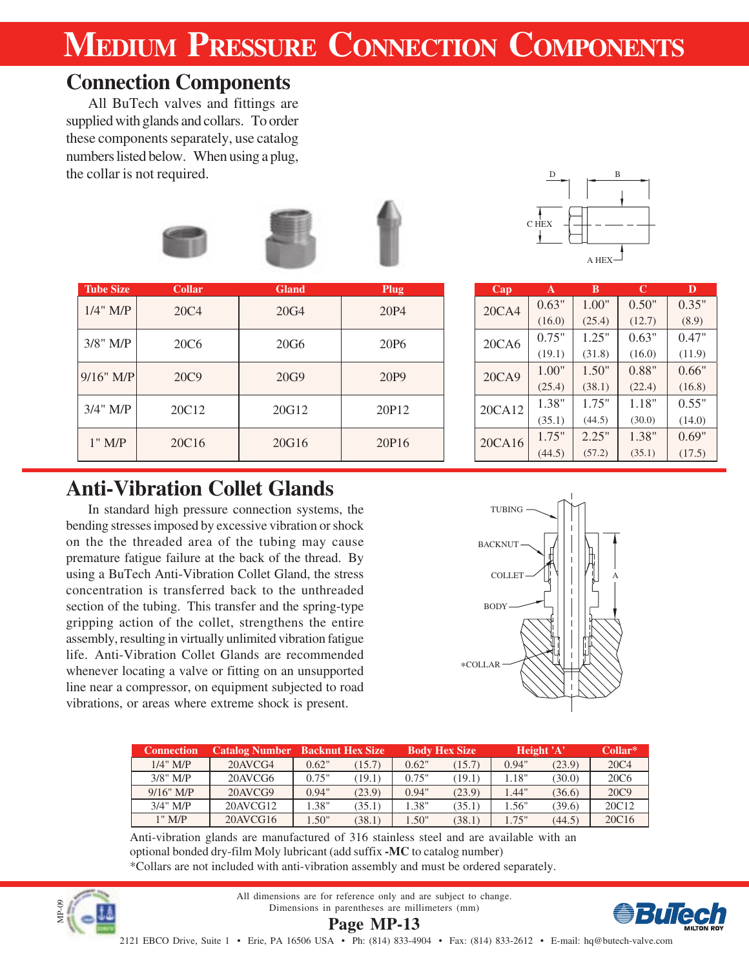# **MEDIUM PRESSURE CONNECTION COMPONENTS**

## **Connection Components**

All BuTech valves and fittings are supplied with glands and collars. To order these components separately, use catalog numbers listed below. When using a plug, the collar is not required.



| <b>Tube Size</b> | <b>Collar</b>     | <b>Gland</b>     | <b>Plug</b>      | Cap    | A      | B      | $\mathbf C$ | D      |
|------------------|-------------------|------------------|------------------|--------|--------|--------|-------------|--------|
| $1/4$ " M/P      | 20C <sub>4</sub>  | 20G4             | 20P4             | 20CA4  | 0.63"  | 1.00"  | 0.50"       | 0.35"  |
|                  |                   |                  |                  |        | (16.0) | (25.4) | (12.7)      | (8.9)  |
| $3/8$ " M/P      | 20C <sub>6</sub>  | 20G <sub>6</sub> | 20P <sub>6</sub> | 20CA6  | 0.75"  | 1.25"  | 0.63"       | 0.47"  |
|                  |                   |                  |                  |        | (19.1) | (31.8) | (16.0)      | (11.9) |
| $9/16$ " M/P     | 20C9              | 20G9             | 20P9             | 20CA9  | 1.00"  | 1.50"  | 0.88"       | 0.66"  |
|                  |                   |                  |                  |        | (25.4) | (38.1) | (22.4)      | (16.8) |
| $3/4$ " M/P      | 20C12             | 20G12            | 20P12            | 20CA12 | 1.38"  | 1.75"  | 1.18"       | 0.55"  |
|                  |                   |                  |                  |        | (35.1) | (44.5) | (30.0)      | (14.0) |
| $1"$ M/P         | 20C <sub>16</sub> | 20G16            | 20P16            | 20CA16 | 1.75"  | 2.25"  | 1.38"       | 0.69"  |
|                  |                   |                  |                  |        | (44.5) | (57.2) | (35.1)      | (17.5) |



| Cap    | A      | В      | C      | D      |
|--------|--------|--------|--------|--------|
| 20CA4  | 0.63"  | 1.00"  | 0.50"  | 0.35"  |
|        | (16.0) | (25.4) | (12.7) | (8.9)  |
| 20CA6  | 0.75"  | 1.25"  | 0.63"  | 0.47"  |
|        | (19.1) | (31.8) | (16.0) | (11.9) |
| 20CA9  | 1.00"  | 1.50"  | 0.88"  | 0.66"  |
|        | (25.4) | (38.1) | (22.4) | (16.8) |
| 20CA12 | 1.38"  | 1.75"  | 1.18"  | 0.55"  |
|        | (35.1) | (44.5) | (30.0) | (14.0) |
| 20CA16 | 1.75"  | 2.25"  | 1.38"  | 0.69"  |
|        | (44.5) | (57.2) | (35.1) | (17.5) |
|        |        |        |        |        |

### **Anti-Vibration Collet Glands**

In standard high pressure connection systems, the bending stresses imposed by excessive vibration or shock on the the threaded area of the tubing may cause premature fatigue failure at the back of the thread. By using a BuTech Anti-Vibration Collet Gland, the stress concentration is transferred back to the unthreaded section of the tubing. This transfer and the spring-type gripping action of the collet, strengthens the entire assembly, resulting in virtually unlimited vibration fatigue life. Anti-Vibration Collet Glands are recommended whenever locating a valve or fitting on an unsupported line near a compressor, on equipment subjected to road vibrations, or areas where extreme shock is present.



| <b>Connection</b> |             | <b>Catalog Number</b> Backnut Hex Size |        |       | <b>Body Hex Size</b> | Height 'A' | Collar* |                   |
|-------------------|-------------|----------------------------------------|--------|-------|----------------------|------------|---------|-------------------|
| $1/4$ " M/P       | 20AVCG4     | 0.62"                                  | 15.7)  | 0.62" | (15.7)               | 0.94"      | (23.9)  | 20C <sub>4</sub>  |
| $3/8$ " M/P       | 20AVCG6     | 0.75"                                  | (19.1) | 0.75" | (19.1)               | 1.18"      | (30.0)  | 20C <sub>6</sub>  |
| $9/16"$ M/P       | 20AVCG9     | 0.94"                                  | (23.9) | 0.94" | (23.9)               | 1.44"      | (36.6)  | 20C9              |
| $3/4"$ M/P        | $20$ AVCG12 | 1.38"                                  | (35.1) | 1.38" | (35.1)               | 1.56"      | (39.6)  | 20C12             |
| 1" MP             | 20AVCG16    | 1.50"                                  | (38.1) | 1.50" | (38.1)               | 1.75"      | (44.5)  | 20C <sub>16</sub> |

Anti-vibration glands are manufactured of 316 stainless steel and are available with an optional bonded dry-film Moly lubricant (add suffix **-MC** to catalog number) \*Collars are not included with anti-vibration assembly and must be ordered separately.



All dimensions are for reference only and are subject to change. Dimensions in parentheses are millimeters (mm) **Page MP-13**

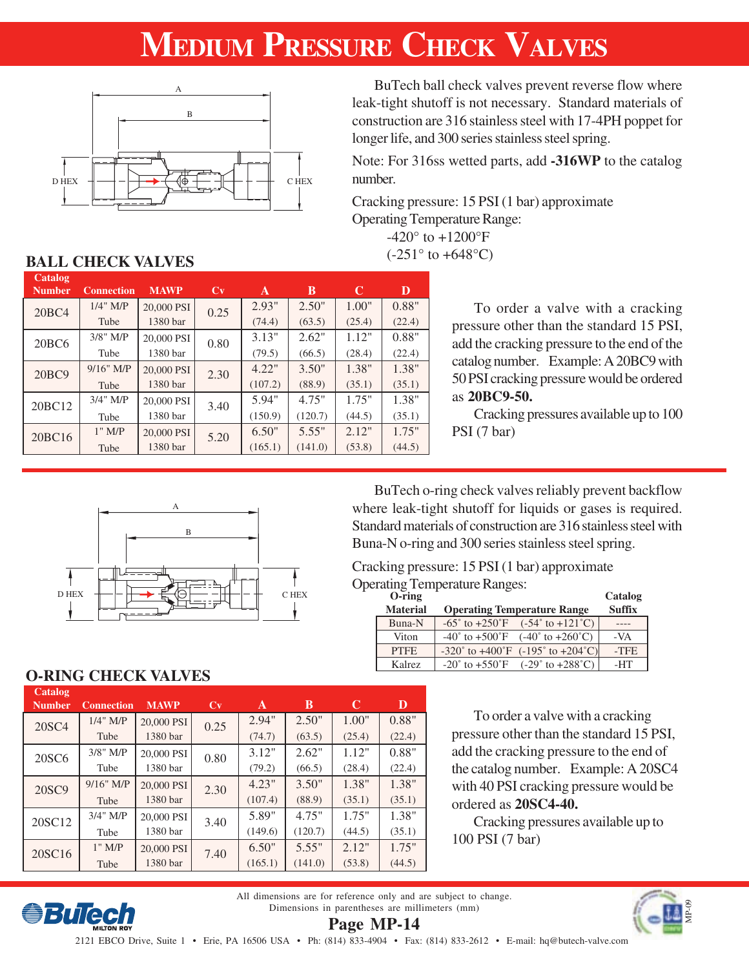# **MEDIUM PRESSURE CHECK VALVES**



BuTech ball check valves prevent reverse flow where leak-tight shutoff is not necessary. Standard materials of construction are 316 stainless steel with 17-4PH poppet for longer life, and 300 series stainless steel spring.

Note: For 316ss wetted parts, add **-316WP** to the catalog number.

Cracking pressure: 15 PSI (1 bar) approximate Operating Temperature Range:  $-420^{\circ}$  to  $+1200^{\circ}$ F

 $(-251^{\circ}$  to  $+648^{\circ}$ C)

### **BALL CHECK VALVES**

| Catalog<br><b>Number</b> | <b>Connection</b> | <b>MAWP</b> | Cv   | A       | B       | C      | D      |
|--------------------------|-------------------|-------------|------|---------|---------|--------|--------|
| 20BC4                    | $1/4$ " M/P       | 20,000 PSI  | 0.25 | 2.93"   | 2.50"   | 1.00"  | 0.88"  |
|                          | Tube              | 1380 bar    |      | (74.4)  | (63.5)  | (25.4) | (22.4) |
| 20BC6                    | $3/8$ " M/P       | 20,000 PSI  | 0.80 | 3.13"   | 2.62"   | 1.12"  | 0.88"  |
|                          | Tube              | 1380 bar    |      | (79.5)  | (66.5)  | (28.4) | (22.4) |
| 20BC9                    | $9/16"$ M/P       | 20,000 PSI  | 2.30 | 4.22"   | 3.50"   | 1.38"  | 1.38"  |
|                          | Tube              | 1380 bar    |      | (107.2) | (88.9)  | (35.1) | (35.1) |
| 20BC12                   | $3/4$ " M/P       | 20,000 PSI  | 3.40 | 5.94"   | 4.75"   | 1.75"  | 1.38"  |
|                          | Tube              | 1380 bar    |      | (150.9) | (120.7) | (44.5) | (35.1) |
| 20BC16                   | $1"$ M/P          | 20,000 PSI  | 5.20 | 6.50"   | 5.55"   | 2.12"  | 1.75"  |
|                          | Tube              | 1380 bar    |      | (165.1) | (141.0) | (53.8) | (44.5) |

To order a valve with a cracking pressure other than the standard 15 PSI, add the cracking pressure to the end of the catalog number. Example: A 20BC9 with 50 PSI cracking pressure would be ordered as **20BC9-50.**

Cracking pressures available up to 100 PSI (7 bar)



BuTech o-ring check valves reliably prevent backflow where leak-tight shutoff for liquids or gases is required. Standard materials of construction are 316 stainless steel with Buna-N o-ring and 300 series stainless steel spring.

### Cracking pressure: 15 PSI (1 bar) approximate

Operating Temperature Ranges:

| $O$ -ring       |                                                                          | Catalog       |
|-----------------|--------------------------------------------------------------------------|---------------|
| <b>Material</b> | <b>Operating Temperature Range</b>                                       | <b>Suffix</b> |
| Buna-N          | $-65^{\circ}$ to $+250^{\circ}$ F $(-54^{\circ}$ to $+121^{\circ}$ C)    |               |
| Viton           | $-40^{\circ}$ to $+500^{\circ}$ F<br>$(-40^{\circ}$ to $+260^{\circ}$ C) | $-VA$         |
| <b>PTFE</b>     | $-320^{\circ}$ to $+400^{\circ}$ F $(-195^{\circ}$ to $+204^{\circ}$ C)  | -TFE          |
| Kalrez          | $-20^{\circ}$ to $+550^{\circ}$ F<br>$(-29° to +288°C)$                  | -HT           |

### **O-RING CHECK VALVES**

*<u>eBuTech</u>* 

| Catalog<br><b>Number</b> | <b>Connection</b> | <b>MAWP</b> | Cv   | A       | B       | C      | D      |
|--------------------------|-------------------|-------------|------|---------|---------|--------|--------|
| 20SC4                    | $1/4$ " M/P       | 20,000 PSI  | 0.25 | 2.94"   | 2.50"   | 1.00"  | 0.88"  |
|                          | Tube              | 1380 bar    |      | (74.7)  | (63.5)  | (25.4) | (22.4) |
| 20SC <sub>6</sub>        | $3/8$ " M/P       | 20,000 PSI  | 0.80 | 3.12"   | 2.62"   | 1.12"  | 0.88"  |
|                          | Tube              | 1380 bar    |      | (79.2)  | (66.5)  | (28.4) | (22.4) |
| 20SC9                    | $9/16"$ M/P       | 20,000 PSI  | 2.30 | 4.23"   | 3.50"   | 1.38"  | 1.38"  |
|                          | Tube              | 1380 bar    |      | (107.4) | (88.9)  | (35.1) | (35.1) |
| 20SC <sub>12</sub>       | $3/4$ " M/P       | 20,000 PSI  | 3.40 | 5.89"   | 4.75"   | 1.75"  | 1.38"  |
|                          | Tube              | 1380 bar    |      | (149.6) | (120.7) | (44.5) | (35.1) |
| 20SC16                   | $1"$ M/P          | 20,000 PSI  | 7.40 | 6.50"   | 5.55"   | 2.12"  | 1.75"  |
|                          | Tube              | 1380 bar    |      | (165.1) | (141.0) | (53.8) | (44.5) |

To order a valve with a cracking pressure other than the standard 15 PSI, add the cracking pressure to the end of the catalog number. Example: A 20SC4 with 40 PSI cracking pressure would be ordered as **20SC4-40.**

Cracking pressures available up to 100 PSI (7 bar)

All dimensions are for reference only and are subject to change. Dimensions in parentheses are millimeters (mm)



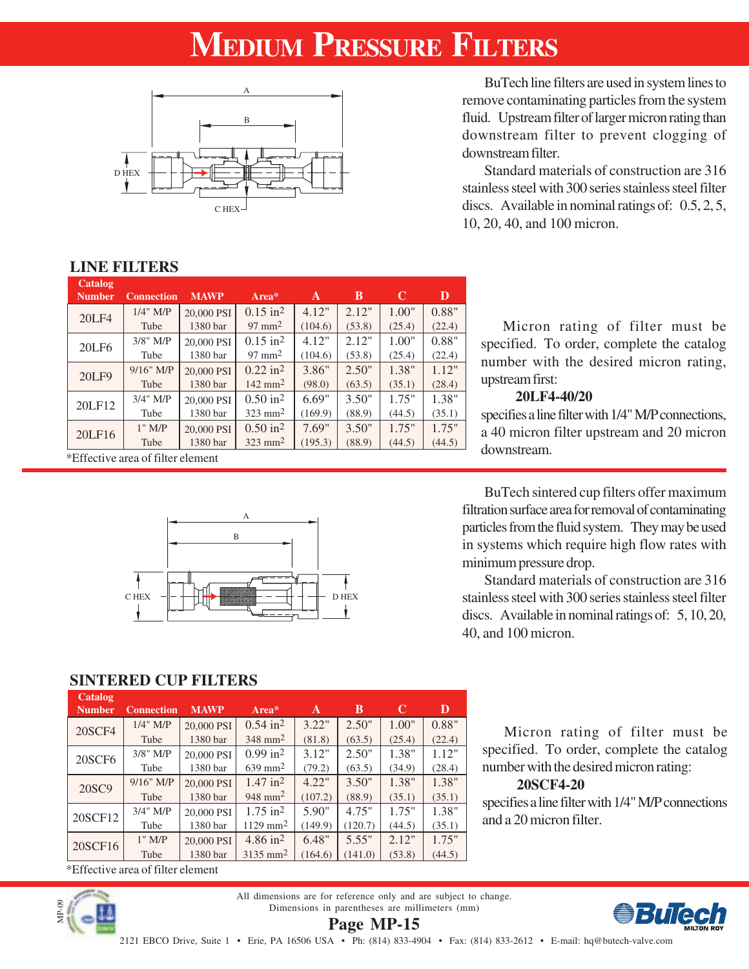# **MEDIUM PRESSURE FILTERS**



BuTech line filters are used in system lines to remove contaminating particles from the system fluid. Upstream filter of larger micron rating than downstream filter to prevent clogging of downstream filter.

Standard materials of construction are 316 stainless steel with 300 series stainless steel filter discs. Available in nominal ratings of: 0.5, 2, 5, 10, 20, 40, and 100 micron.

### **LINE FILTERS**

| Catalog<br><b>Number</b> | <b>Connection</b>                 | <b>MAWP</b> | Area*                  | A       | B      | C      | D      |
|--------------------------|-----------------------------------|-------------|------------------------|---------|--------|--------|--------|
| <b>20LF4</b>             | $1/4$ " M/P                       | 20,000 PSI  | $0.15$ in <sup>2</sup> | 4.12"   | 2.12"  | 1.00"  | 0.88"  |
|                          | Tube                              | 1380 bar    | $97 \text{ mm}^2$      | (104.6) | (53.8) | (25.4) | (22.4) |
| 20LF6                    | $3/8$ " M/P                       | 20,000 PSI  | $0.15$ in <sup>2</sup> | 4.12"   | 2.12"  | 1.00"  | 0.88"  |
|                          | Tube                              | 1380 bar    | $97 \text{ mm}^2$      | (104.6) | (53.8) | (25.4) | (22.4) |
| <b>20LF9</b>             | $9/16"$ M/P                       | 20,000 PSI  | $0.22$ in <sup>2</sup> | 3.86"   | 2.50"  | 1.38"  | 1.12"  |
|                          | Tube                              | 1380 bar    | $142 \text{ mm}^2$     | (98.0)  | (63.5) | (35.1) | (28.4) |
| 20LF12                   | $3/4$ " M/P                       | 20,000 PSI  | $0.50$ in <sup>2</sup> | 6.69"   | 3.50"  | 1.75"  | 1.38"  |
|                          | Tube                              | 1380 bar    | $323 \text{ mm}^2$     | (169.9) | (88.9) | (44.5) | (35.1) |
| 20LF16                   | $1"$ M/P                          | 20,000 PSI  | $0.50$ in <sup>2</sup> | 7.69"   | 3.50"  | 1.75"  | 1.75"  |
|                          | Tube                              | 1380 bar    | $323$ mm <sup>2</sup>  | (195.3) | (88.9) | (44.5) | (44.5) |
|                          | *Effective area of filter element |             |                        |         |        |        |        |

Micron rating of filter must be specified. To order, complete the catalog number with the desired micron rating, upstream first:

### **20LF4-40/20**

specifies a line filter with 1/4" M/P connections, a 40 micron filter upstream and 20 micron downstream.



BuTech sintered cup filters offer maximum filtration surface area for removal of contaminating particles from the fluid system. They may be used in systems which require high flow rates with minimum pressure drop.

Standard materials of construction are 316 stainless steel with 300 series stainless steel filter discs. Available in nominal ratings of: 5, 10, 20, 40, and 100 micron.

Micron rating of filter must be specified. To order, complete the catalog

number with the desired micron rating:

specifies a line filter with 1/4" M/P connections

**20SCF4-20**

and a 20 micron filter.

### **SINTERED CUP FILTERS**

| Catalog<br><b>Number</b> | <b>Connection</b> | <b>MAWP</b> | Area*                  | A       | B       | C      | D      |
|--------------------------|-------------------|-------------|------------------------|---------|---------|--------|--------|
| 20SCF4                   | $1/4$ " M/P       | 20,000 PSI  | $0.54$ in <sup>2</sup> | 3.22"   | 2.50"   | 1.00"  | 0.88"  |
|                          | Tube              | 1380 bar    | $348$ mm <sup>2</sup>  | (81.8)  | (63.5)  | (25.4) | (22.4) |
| <b>20SCF6</b>            | $3/8$ " M/P       | 20,000 PSI  | $0.99$ in <sup>2</sup> | 3.12"   | 2.50"   | 1.38"  | 1.12"  |
|                          | Tube              | 1380 bar    | $639 \text{ mm}^2$     | (79.2)  | (63.5)  | (34.9) | (28.4) |
| 20SC9                    | $9/16"$ M/P       | 20,000 PSI  | $1.47$ in <sup>2</sup> | 4.22"   | 3.50"   | 1.38"  | 1.38"  |
|                          | Tube              | 1380 bar    | $948$ mm <sup>2</sup>  | (107.2) | (88.9)  | (35.1) | (35.1) |
| 20SCF12                  | $3/4$ " M/P       | 20,000 PSI  | $1.75$ in <sup>2</sup> | 5.90"   | 4.75"   | 1.75"  | 1.38"  |
|                          | Tube              | 1380 bar    | $1129$ mm <sup>2</sup> | (149.9) | (120.7) | (44.5) | (35.1) |
| 20SCF16                  | $1"$ M/P          | 20,000 PSI  | $4.86 \text{ in}^2$    | 6.48"   | 5.55"   | 2.12"  | 1.75"  |
|                          | Tube              | 1380 bar    | $3135$ mm <sup>2</sup> | (164.6) | (141.0) | (53.8) | (44.5) |
|                          |                   |             |                        |         |         |        |        |

\*Effective area of filter element



All dimensions are for reference only and are subject to change. Dimensions in parentheses are millimeters (mm) **Page MP-15**